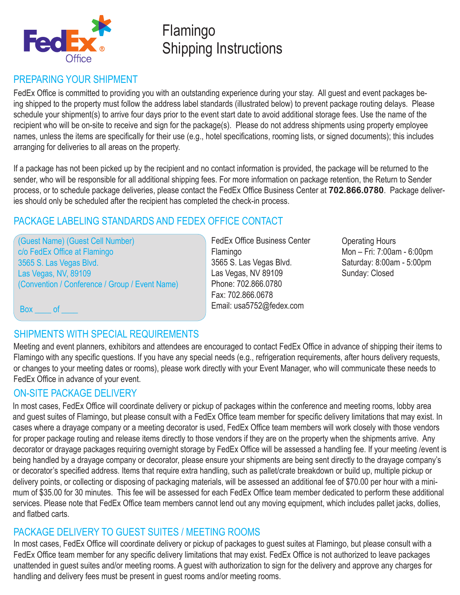

# Flamingo Shipping Instructions

## PREPARING YOUR SHIPMENT

FedEx Office is committed to providing you with an outstanding experience during your stay. All guest and event packages being shipped to the property must follow the address label standards (illustrated below) to prevent package routing delays. Please schedule your shipment(s) to arrive four days prior to the event start date to avoid additional storage fees. Use the name of the recipient who will be on-site to receive and sign for the package(s). Please do not address shipments using property employee names, unless the items are specifically for their use (e.g., hotel specifications, rooming lists, or signed documents); this includes arranging for deliveries to all areas on the property.

If a package has not been picked up by the recipient and no contact information is provided, the package will be returned to the sender, who will be responsible for all additional shipping fees. For more information on package retention, the Return to Sender process, or to schedule package deliveries, please contact the FedEx Office Business Center at **702.866.0780**. Package deliveries should only be scheduled after the recipient has completed the check-in process.

## PACKAGE LABELING STANDARDS AND FEDEX OFFICE CONTACT

(Guest Name) (Guest Cell Number) c/o FedEx Office at Flamingo 3565 S. Las Vegas Blvd. Las Vegas, NV, 89109 (Convention / Conference / Group / Event Name)

FedEx Office Business Center Flamingo 3565 S. Las Vegas Blvd. Las Vegas, NV 89109 Phone: 702.866.0780 Fax: 702.866.0678 Email: usa5752@fedex.com

Operating Hours Mon – Fri: 7:00am - 6:00pm Saturday: 8:00am - 5:00pm Sunday: Closed

Box of

## SHIPMENTS WITH SPECIAL REQUIREMENTS

Meeting and event planners, exhibitors and attendees are encouraged to contact FedEx Office in advance of shipping their items to Flamingo with any specific questions. If you have any special needs (e.g., refrigeration requirements, after hours delivery requests, or changes to your meeting dates or rooms), please work directly with your Event Manager, who will communicate these needs to FedEx Office in advance of your event.

## ON-SITE PACKAGE DELIVERY

In most cases, FedEx Office will coordinate delivery or pickup of packages within the conference and meeting rooms, lobby area and guest suites of Flamingo, but please consult with a FedEx Office team member for specific delivery limitations that may exist. In cases where a drayage company or a meeting decorator is used, FedEx Office team members will work closely with those vendors for proper package routing and release items directly to those vendors if they are on the property when the shipments arrive. Any decorator or drayage packages requiring overnight storage by FedEx Office will be assessed a handling fee. If your meeting /event is being handled by a drayage company or decorator, please ensure your shipments are being sent directly to the drayage company's or decorator's specified address. Items that require extra handling, such as pallet/crate breakdown or build up, multiple pickup or delivery points, or collecting or disposing of packaging materials, will be assessed an additional fee of \$70.00 per hour with a minimum of \$35.00 for 30 minutes. This fee will be assessed for each FedEx Office team member dedicated to perform these additional services. Please note that FedEx Office team members cannot lend out any moving equipment, which includes pallet jacks, dollies, and flatbed carts.

### PACKAGE DELIVERY TO GUEST SUITES / MEETING ROOMS

In most cases, FedEx Office will coordinate delivery or pickup of packages to guest suites at Flamingo, but please consult with a FedEx Office team member for any specific delivery limitations that may exist. FedEx Office is not authorized to leave packages unattended in guest suites and/or meeting rooms. A guest with authorization to sign for the delivery and approve any charges for handling and delivery fees must be present in guest rooms and/or meeting rooms.